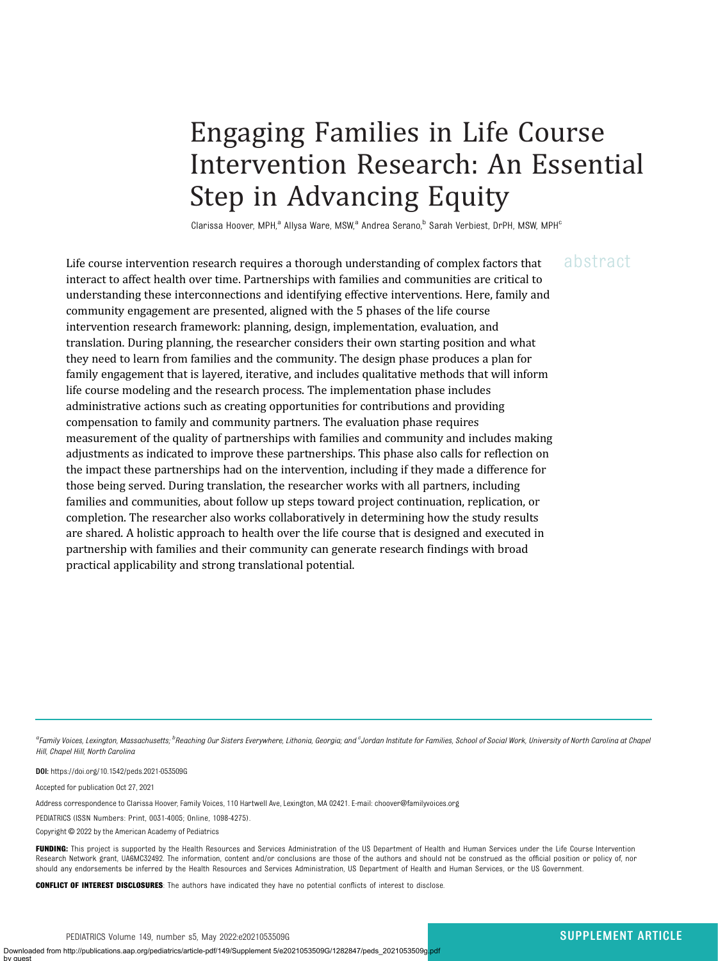# Engaging Families in Life Course Intervention Research: An Essential Step in Advancing Equity

Clarissa Hoover, MPH,<sup>a</sup> Allysa Ware, MSW,<sup>a</sup> Andrea Serano,<sup>b</sup> Sarah Verbiest, DrPH, MSW, MPH<sup>c</sup>

Life course intervention research requires a thorough understanding of complex factors that abstract interact to affect health over time. Partnerships with families and communities are critical to understanding these interconnections and identifying effective interventions. Here, family and community engagement are presented, aligned with the 5 phases of the life course intervention research framework: planning, design, implementation, evaluation, and translation. During planning, the researcher considers their own starting position and what they need to learn from families and the community. The design phase produces a plan for family engagement that is layered, iterative, and includes qualitative methods that will inform life course modeling and the research process. The implementation phase includes administrative actions such as creating opportunities for contributions and providing compensation to family and community partners. The evaluation phase requires measurement of the quality of partnerships with families and community and includes making adjustments as indicated to improve these partnerships. This phase also calls for reflection on the impact these partnerships had on the intervention, including if they made a difference for those being served. During translation, the researcher works with all partners, including families and communities, about follow up steps toward project continuation, replication, or completion. The researcher also works collaboratively in determining how the study results are shared. A holistic approach to health over the life course that is designed and executed in partnership with families and their community can generate research findings with broad practical applicability and strong translational potential.

a<br>Family Voices, Lexington, Massachusetts; <sup>b</sup>Reaching Our Sisters Everywhere, Lithonia, Georgia; and <sup>c</sup>Jordan Institute for Families, School of Social Work, University of North Carolina at Chape Hill, Chapel Hill, North Carolina

DOI: <https://doi.org/10.1542/peds.2021-053509G>

Accepted for publication Oct 27, 2021

Address correspondence to Clarissa Hoover, Family Voices, 110 Hartwell Ave, Lexington, MA 02421. E-mail: [choover@familyvoices.org](mailto:choover@familyvoices.org)

PEDIATRICS (ISSN Numbers: Print, 0031-4005; Online, 1098-4275).

Copyright © 2022 by the American Academy of Pediatrics

FUNDING: This project is supported by the Health Resources and Services Administration of the US Department of Health and Human Services under the Life Course Intervention Research Network grant, UA6MC32492. The information, content and/or conclusions are those of the authors and should not be construed as the official position or policy of, nor should any endorsements be inferred by the Health Resources and Services Administration, US Department of Health and Human Services, or the US Government.

**CONFLICT OF INTEREST DISCLOSURES:** The authors have indicated they have no potential conflicts of interest to disclose.

PEDIATRICS Volume 149, number s5, May 2022:e2021053509G SUPPLEMENT ARTICLE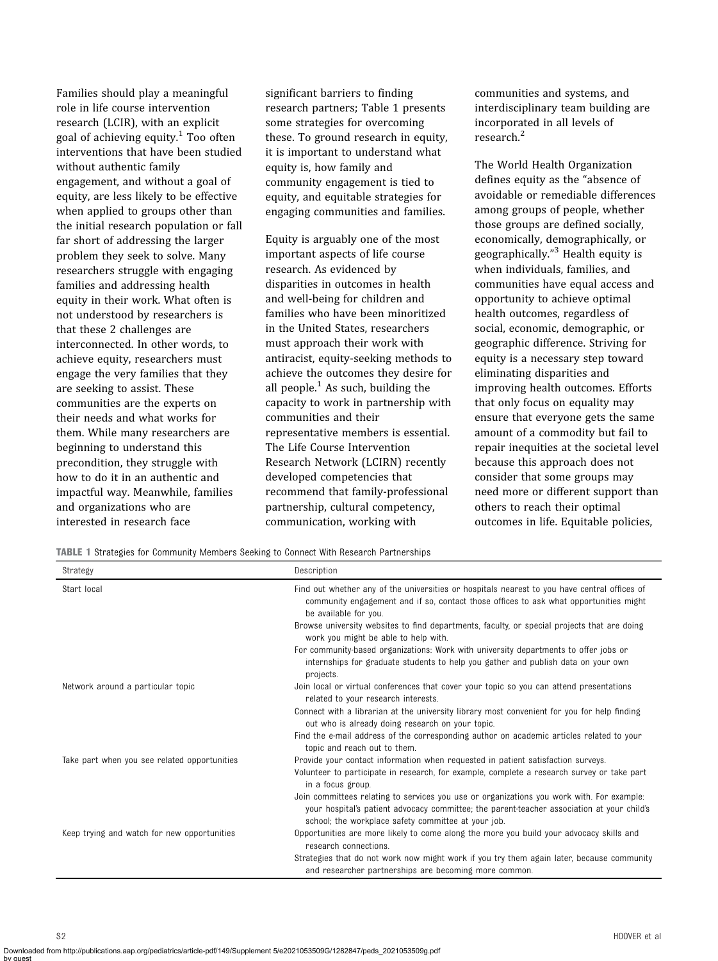Families should play a meaningful role in life course intervention research (LCIR), with an explicit goal of achieving equity.<sup>1</sup> Too often interventions that have been studied without authentic family engagement, and without a goal of equity, are less likely to be effective when applied to groups other than the initial research population or fall far short of addressing the larger problem they seek to solve. Many researchers struggle with engaging families and addressing health equity in their work. What often is not understood by researchers is that these 2 challenges are interconnected. In other words, to achieve equity, researchers must engage the very families that they are seeking to assist. These communities are the experts on their needs and what works for them. While many researchers are beginning to understand this precondition, they struggle with how to do it in an authentic and impactful way. Meanwhile, families and organizations who are interested in research face

significant barriers to finding research partners; Table 1 presents some strategies for overcoming these. To ground research in equity, it is important to understand what equity is, how family and community engagement is tied to equity, and equitable strategies for engaging communities and families.

Equity is arguably one of the most important aspects of life course research. As evidenced by disparities in outcomes in health and well-being for children and families who have been minoritized in the United States, researchers must approach their work with antiracist, equity-seeking methods to achieve the outcomes they desire for all people. $<sup>1</sup>$  As such, building the</sup> capacity to work in partnership with communities and their representative members is essential. The Life Course Intervention Research Network (LCIRN) recently developed competencies that recommend that family-professional partnership, cultural competency, communication, working with

communities and systems, and interdisciplinary team building are incorporated in all levels of research.<sup>2</sup>

The World Health Organization defines equity as the "absence of avoidable or remediable differences among groups of people, whether those groups are defined socially, economically, demographically, or geographically." <sup>3</sup> Health equity is when individuals, families, and communities have equal access and opportunity to achieve optimal health outcomes, regardless of social, economic, demographic, or geographic difference. Striving for equity is a necessary step toward eliminating disparities and improving health outcomes. Efforts that only focus on equality may ensure that everyone gets the same amount of a commodity but fail to repair inequities at the societal level because this approach does not consider that some groups may need more or different support than others to reach their optimal outcomes in life. Equitable policies,

TABLE 1 Strategies for Community Members Seeking to Connect With Research Partnerships

| Strategy                                     | Description                                                                                                                                                                                                                                    |
|----------------------------------------------|------------------------------------------------------------------------------------------------------------------------------------------------------------------------------------------------------------------------------------------------|
| Start local                                  | Find out whether any of the universities or hospitals nearest to you have central offices of<br>community engagement and if so, contact those offices to ask what opportunities might<br>be available for you.                                 |
|                                              | Browse university websites to find departments, faculty, or special projects that are doing<br>work you might be able to help with.                                                                                                            |
|                                              | For community-based organizations: Work with university departments to offer jobs or<br>internships for graduate students to help you gather and publish data on your own<br>projects.                                                         |
| Network around a particular topic            | Join local or virtual conferences that cover your topic so you can attend presentations<br>related to your research interests.                                                                                                                 |
|                                              | Connect with a librarian at the university library most convenient for you for help finding<br>out who is already doing research on your topic.                                                                                                |
|                                              | Find the e-mail address of the corresponding author on academic articles related to your<br>topic and reach out to them.                                                                                                                       |
| Take part when you see related opportunities | Provide your contact information when requested in patient satisfaction surveys.<br>Volunteer to participate in research, for example, complete a research survey or take part<br>in a focus group.                                            |
|                                              | Join committees relating to services you use or organizations you work with. For example:<br>your hospital's patient advocacy committee; the parent-teacher association at your child's<br>school; the workplace safety committee at your job. |
| Keep trying and watch for new opportunities  | Opportunities are more likely to come along the more you build your advocacy skills and<br>research connections.                                                                                                                               |
|                                              | Strategies that do not work now might work if you try them again later, because community<br>and researcher partnerships are becoming more common.                                                                                             |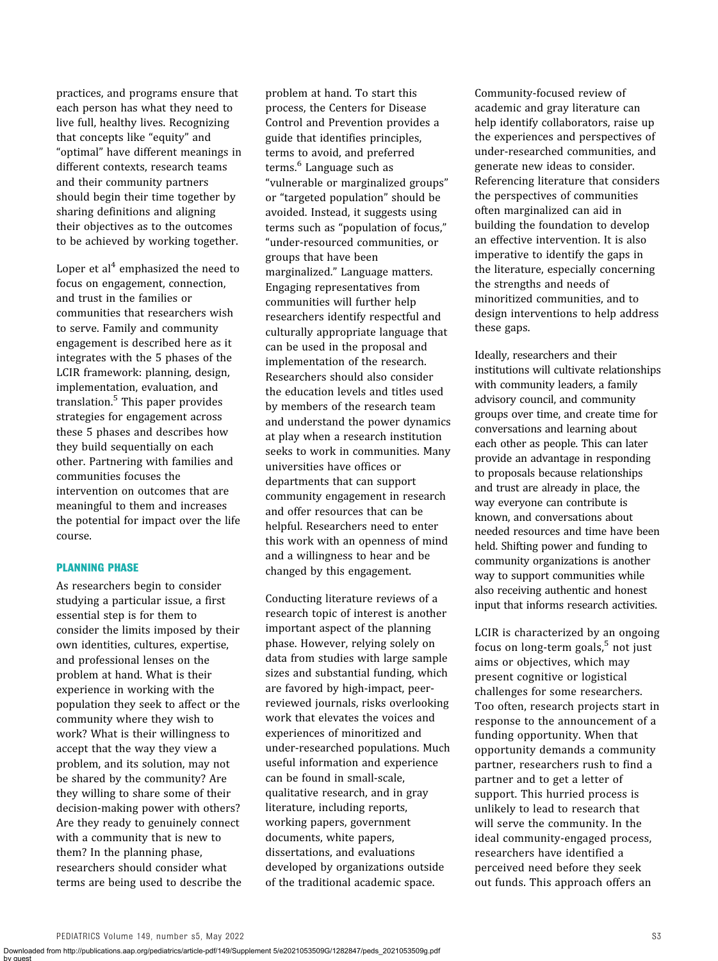practices, and programs ensure that each person has what they need to live full, healthy lives. Recognizing that concepts like "equity" and "optimal" have different meanings in different contexts, research teams and their community partners should begin their time together by sharing definitions and aligning their objectives as to the outcomes to be achieved by working together.

Loper et al<sup>4</sup> emphasized the need to focus on engagement, connection, and trust in the families or communities that researchers wish to serve. Family and community engagement is described here as it integrates with the 5 phases of the LCIR framework: planning, design, implementation, evaluation, and translation.<sup>5</sup> This paper provides strategies for engagement across these 5 phases and describes how they build sequentially on each other. Partnering with families and communities focuses the intervention on outcomes that are meaningful to them and increases the potential for impact over the life course.

# PLANNING PHASE

As researchers begin to consider studying a particular issue, a first essential step is for them to consider the limits imposed by their own identities, cultures, expertise, and professional lenses on the problem at hand. What is their experience in working with the population they seek to affect or the community where they wish to work? What is their willingness to accept that the way they view a problem, and its solution, may not be shared by the community? Are they willing to share some of their decision-making power with others? Are they ready to genuinely connect with a community that is new to them? In the planning phase, researchers should consider what terms are being used to describe the

problem at hand. To start this process, the Centers for Disease Control and Prevention provides a guide that identifies principles, terms to avoid, and preferred terms.<sup>6</sup> Language such as "vulnerable or marginalized groups" or "targeted population" should be avoided. Instead, it suggests using terms such as "population of focus," "under-resourced communities, or groups that have been marginalized." Language matters. Engaging representatives from communities will further help researchers identify respectful and culturally appropriate language that can be used in the proposal and implementation of the research. Researchers should also consider the education levels and titles used by members of the research team and understand the power dynamics at play when a research institution seeks to work in communities. Many universities have offices or departments that can support community engagement in research and offer resources that can be helpful. Researchers need to enter this work with an openness of mind and a willingness to hear and be changed by this engagement.

Conducting literature reviews of a research topic of interest is another important aspect of the planning phase. However, relying solely on data from studies with large sample sizes and substantial funding, which are favored by high-impact, peerreviewed journals, risks overlooking work that elevates the voices and experiences of minoritized and under-researched populations. Much useful information and experience can be found in small-scale, qualitative research, and in gray literature, including reports, working papers, government documents, white papers, dissertations, and evaluations developed by organizations outside of the traditional academic space.

Community-focused review of academic and gray literature can help identify collaborators, raise up the experiences and perspectives of under-researched communities, and generate new ideas to consider. Referencing literature that considers the perspectives of communities often marginalized can aid in building the foundation to develop an effective intervention. It is also imperative to identify the gaps in the literature, especially concerning the strengths and needs of minoritized communities, and to design interventions to help address these gaps.

Ideally, researchers and their institutions will cultivate relationships with community leaders, a family advisory council, and community groups over time, and create time for conversations and learning about each other as people. This can later provide an advantage in responding to proposals because relationships and trust are already in place, the way everyone can contribute is known, and conversations about needed resources and time have been held. Shifting power and funding to community organizations is another way to support communities while also receiving authentic and honest input that informs research activities.

LCIR is characterized by an ongoing focus on long-term goals, $5$  not just aims or objectives, which may present cognitive or logistical challenges for some researchers. Too often, research projects start in response to the announcement of a funding opportunity. When that opportunity demands a community partner, researchers rush to find a partner and to get a letter of support. This hurried process is unlikely to lead to research that will serve the community. In the ideal community-engaged process, researchers have identified a perceived need before they seek out funds. This approach offers an

Downloaded from http://publications.aap.org/pediatrics/article-pdf/149/Supplement 5/e2021053509G/1282847/peds\_2021053509g.pdf by guest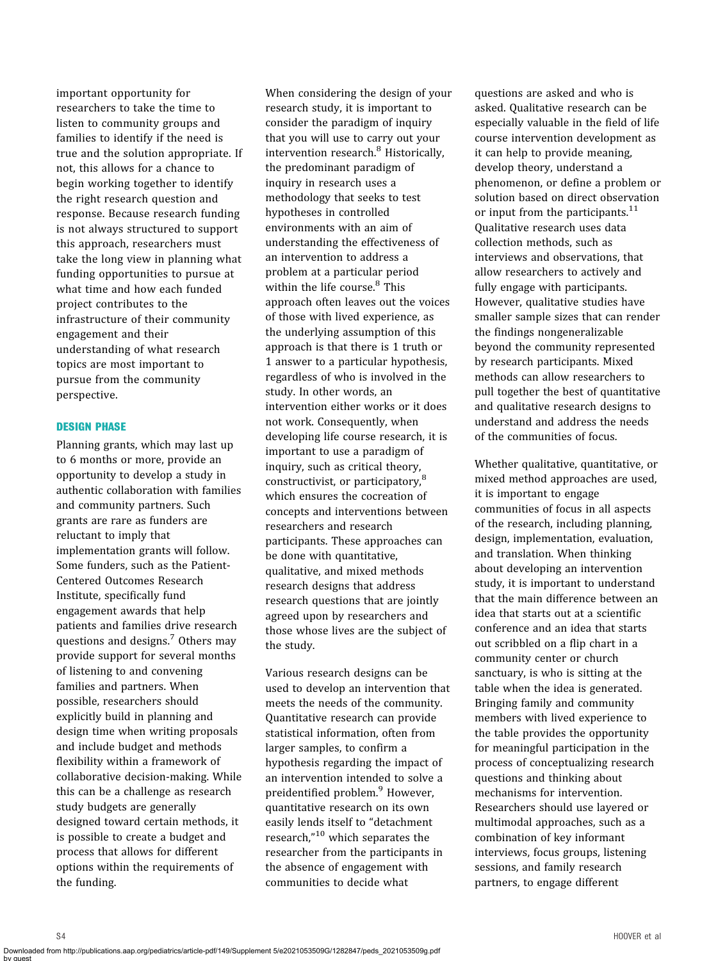important opportunity for researchers to take the time to listen to community groups and families to identify if the need is true and the solution appropriate. If not, this allows for a chance to begin working together to identify the right research question and response. Because research funding is not always structured to support this approach, researchers must take the long view in planning what funding opportunities to pursue at what time and how each funded project contributes to the infrastructure of their community engagement and their understanding of what research topics are most important to pursue from the community perspective.

# DESIGN PHASE

Planning grants, which may last up to 6 months or more, provide an opportunity to develop a study in authentic collaboration with families and community partners. Such grants are rare as funders are reluctant to imply that implementation grants will follow. Some funders, such as the Patient-Centered Outcomes Research Institute, specifically fund engagement awards that help patients and families drive research questions and designs.<sup>7</sup> Others may provide support for several months of listening to and convening families and partners. When possible, researchers should explicitly build in planning and design time when writing proposals and include budget and methods flexibility within a framework of collaborative decision-making. While this can be a challenge as research study budgets are generally designed toward certain methods, it is possible to create a budget and process that allows for different options within the requirements of the funding.

When considering the design of your research study, it is important to consider the paradigm of inquiry that you will use to carry out your intervention research.<sup>8</sup> Historically, the predominant paradigm of inquiry in research uses a methodology that seeks to test hypotheses in controlled environments with an aim of understanding the effectiveness of an intervention to address a problem at a particular period within the life course.<sup>8</sup> This approach often leaves out the voices of those with lived experience, as the underlying assumption of this approach is that there is 1 truth or 1 answer to a particular hypothesis, regardless of who is involved in the study. In other words, an intervention either works or it does not work. Consequently, when developing life course research, it is important to use a paradigm of inquiry, such as critical theory, constructivist, or participatory,<sup>8</sup> which ensures the cocreation of concepts and interventions between researchers and research participants. These approaches can be done with quantitative, qualitative, and mixed methods research designs that address research questions that are jointly agreed upon by researchers and those whose lives are the subject of the study.

Various research designs can be used to develop an intervention that meets the needs of the community. Quantitative research can provide statistical information, often from larger samples, to confirm a hypothesis regarding the impact of an intervention intended to solve a preidentified problem.<sup>9</sup> However, quantitative research on its own easily lends itself to "detachment research,"<sup>10</sup> which separates the researcher from the participants in the absence of engagement with communities to decide what

questions are asked and who is asked. Qualitative research can be especially valuable in the field of life course intervention development as it can help to provide meaning, develop theory, understand a phenomenon, or define a problem or solution based on direct observation or input from the participants. $11$ Qualitative research uses data collection methods, such as interviews and observations, that allow researchers to actively and fully engage with participants. However, qualitative studies have smaller sample sizes that can render the findings nongeneralizable beyond the community represented by research participants. Mixed methods can allow researchers to pull together the best of quantitative and qualitative research designs to understand and address the needs of the communities of focus.

Whether qualitative, quantitative, or mixed method approaches are used, it is important to engage communities of focus in all aspects of the research, including planning, design, implementation, evaluation, and translation. When thinking about developing an intervention study, it is important to understand that the main difference between an idea that starts out at a scientific conference and an idea that starts out scribbled on a flip chart in a community center or church sanctuary, is who is sitting at the table when the idea is generated. Bringing family and community members with lived experience to the table provides the opportunity for meaningful participation in the process of conceptualizing research questions and thinking about mechanisms for intervention. Researchers should use layered or multimodal approaches, such as a combination of key informant interviews, focus groups, listening sessions, and family research partners, to engage different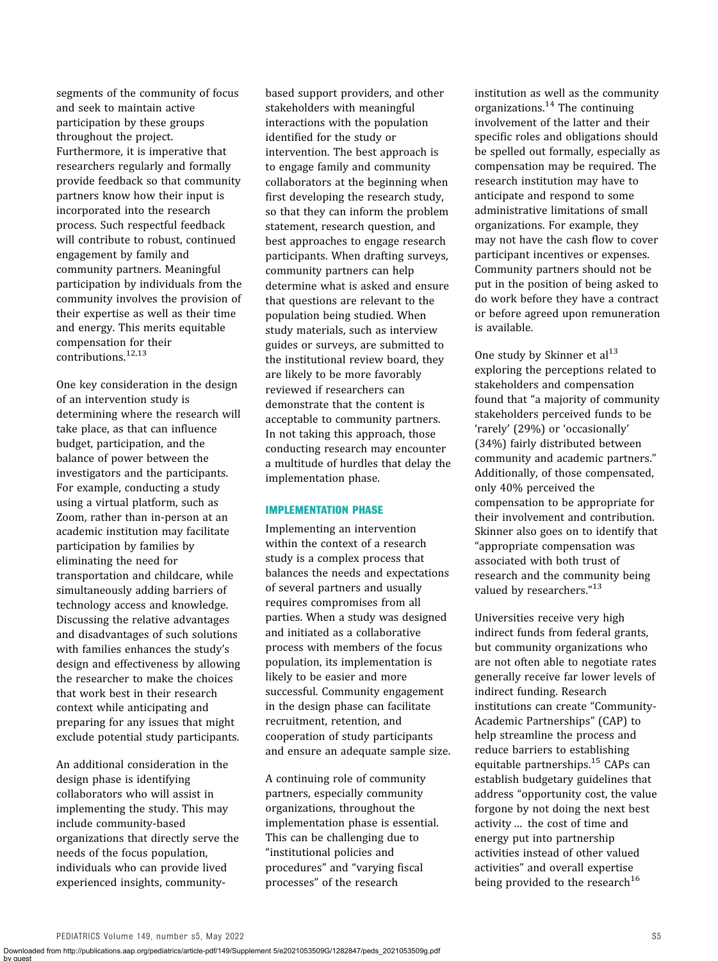segments of the community of focus and seek to maintain active participation by these groups throughout the project. Furthermore, it is imperative that researchers regularly and formally provide feedback so that community partners know how their input is incorporated into the research process. Such respectful feedback will contribute to robust, continued engagement by family and community partners. Meaningful participation by individuals from the community involves the provision of their expertise as well as their time and energy. This merits equitable compensation for their contributions.12,13

One key consideration in the design of an intervention study is determining where the research will take place, as that can influence budget, participation, and the balance of power between the investigators and the participants. For example, conducting a study using a virtual platform, such as Zoom, rather than in-person at an academic institution may facilitate participation by families by eliminating the need for transportation and childcare, while simultaneously adding barriers of technology access and knowledge. Discussing the relative advantages and disadvantages of such solutions with families enhances the study's design and effectiveness by allowing the researcher to make the choices that work best in their research context while anticipating and preparing for any issues that might exclude potential study participants.

An additional consideration in the design phase is identifying collaborators who will assist in implementing the study. This may include community-based organizations that directly serve the needs of the focus population, individuals who can provide lived experienced insights, community-

based support providers, and other stakeholders with meaningful interactions with the population identified for the study or intervention. The best approach is to engage family and community collaborators at the beginning when first developing the research study, so that they can inform the problem statement, research question, and best approaches to engage research participants. When drafting surveys, community partners can help determine what is asked and ensure that questions are relevant to the population being studied. When study materials, such as interview guides or surveys, are submitted to the institutional review board, they are likely to be more favorably reviewed if researchers can demonstrate that the content is acceptable to community partners. In not taking this approach, those conducting research may encounter a multitude of hurdles that delay the implementation phase.

# IMPLEMENTATION PHASE

Implementing an intervention within the context of a research study is a complex process that balances the needs and expectations of several partners and usually requires compromises from all parties. When a study was designed and initiated as a collaborative process with members of the focus population, its implementation is likely to be easier and more successful. Community engagement in the design phase can facilitate recruitment, retention, and cooperation of study participants and ensure an adequate sample size.

A continuing role of community partners, especially community organizations, throughout the implementation phase is essential. This can be challenging due to "institutional policies and procedures" and "varying fiscal processes" of the research

institution as well as the community organizations. $14$  The continuing involvement of the latter and their specific roles and obligations should be spelled out formally, especially as compensation may be required. The research institution may have to anticipate and respond to some administrative limitations of small organizations. For example, they may not have the cash flow to cover participant incentives or expenses. Community partners should not be put in the position of being asked to do work before they have a contract or before agreed upon remuneration is available.

One study by Skinner et  $al<sup>13</sup>$ exploring the perceptions related to stakeholders and compensation found that "a majority of community stakeholders perceived funds to be 'rarely' (29%) or 'occasionally' (34%) fairly distributed between community and academic partners." Additionally, of those compensated, only 40% perceived the compensation to be appropriate for their involvement and contribution. Skinner also goes on to identify that "appropriate compensation was associated with both trust of research and the community being valued by researchers."<sup>13</sup>

Universities receive very high indirect funds from federal grants, but community organizations who are not often able to negotiate rates generally receive far lower levels of indirect funding. Research institutions can create "Community-Academic Partnerships" (CAP) to help streamline the process and reduce barriers to establishing equitable partnerships.<sup>15</sup> CAPs can establish budgetary guidelines that address "opportunity cost, the value forgone by not doing the next best activity … the cost of time and energy put into partnership activities instead of other valued activities" and overall expertise being provided to the research<sup>16</sup>

Downloaded from http://publications.aap.org/pediatrics/article-pdf/149/Supplement 5/e2021053509G/1282847/peds\_2021053509g.pdf by guest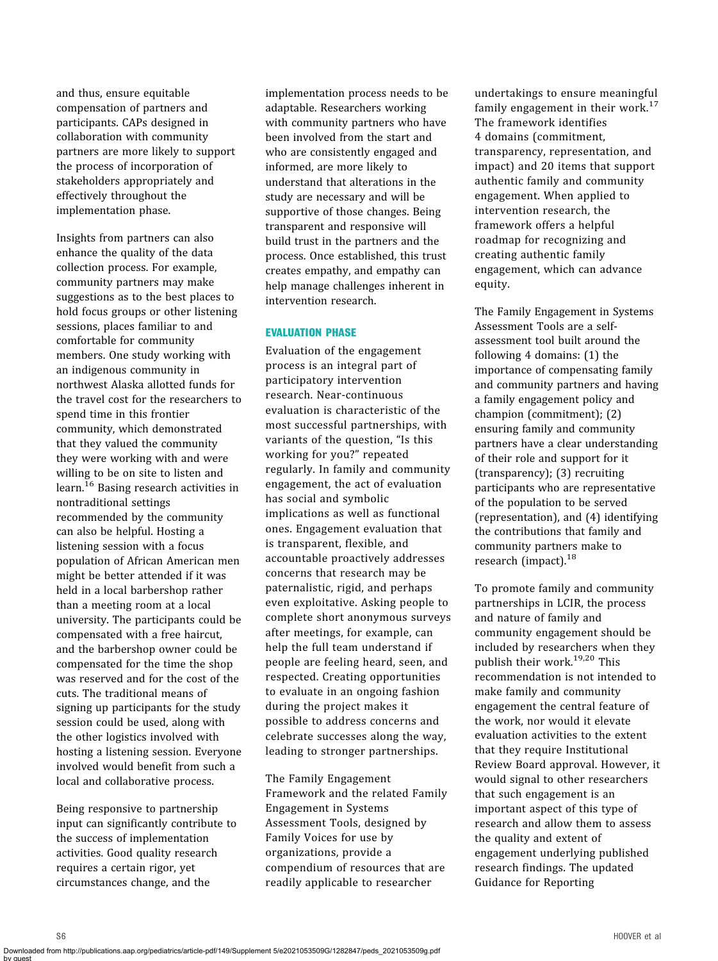and thus, ensure equitable compensation of partners and participants. CAPs designed in collaboration with community partners are more likely to support the process of incorporation of stakeholders appropriately and effectively throughout the implementation phase.

Insights from partners can also enhance the quality of the data collection process. For example, community partners may make suggestions as to the best places to hold focus groups or other listening sessions, places familiar to and comfortable for community members. One study working with an indigenous community in northwest Alaska allotted funds for the travel cost for the researchers to spend time in this frontier community, which demonstrated that they valued the community they were working with and were willing to be on site to listen and learn.<sup>16</sup> Basing research activities in nontraditional settings recommended by the community can also be helpful. Hosting a listening session with a focus population of African American men might be better attended if it was held in a local barbershop rather than a meeting room at a local university. The participants could be compensated with a free haircut, and the barbershop owner could be compensated for the time the shop was reserved and for the cost of the cuts. The traditional means of signing up participants for the study session could be used, along with the other logistics involved with hosting a listening session. Everyone involved would benefit from such a local and collaborative process.

Being responsive to partnership input can significantly contribute to the success of implementation activities. Good quality research requires a certain rigor, yet circumstances change, and the

implementation process needs to be adaptable. Researchers working with community partners who have been involved from the start and who are consistently engaged and informed, are more likely to understand that alterations in the study are necessary and will be supportive of those changes. Being transparent and responsive will build trust in the partners and the process. Once established, this trust creates empathy, and empathy can help manage challenges inherent in intervention research.

#### EVALUATION PHASE

Evaluation of the engagement process is an integral part of participatory intervention research. Near-continuous evaluation is characteristic of the most successful partnerships, with variants of the question, "Is this working for you?" repeated regularly. In family and community engagement, the act of evaluation has social and symbolic implications as well as functional ones. Engagement evaluation that is transparent, flexible, and accountable proactively addresses concerns that research may be paternalistic, rigid, and perhaps even exploitative. Asking people to complete short anonymous surveys after meetings, for example, can help the full team understand if people are feeling heard, seen, and respected. Creating opportunities to evaluate in an ongoing fashion during the project makes it possible to address concerns and celebrate successes along the way, leading to stronger partnerships.

The Family Engagement Framework and the related Family Engagement in Systems Assessment Tools, designed by Family Voices for use by organizations, provide a compendium of resources that are readily applicable to researcher

undertakings to ensure meaningful family engagement in their work. $17$ The framework identifies 4 domains (commitment, transparency, representation, and impact) and 20 items that support authentic family and community engagement. When applied to intervention research, the framework offers a helpful roadmap for recognizing and creating authentic family engagement, which can advance equity.

The Family Engagement in Systems Assessment Tools are a selfassessment tool built around the following 4 domains: (1) the importance of compensating family and community partners and having a family engagement policy and champion (commitment); (2) ensuring family and community partners have a clear understanding of their role and support for it (transparency); (3) recruiting participants who are representative of the population to be served (representation), and (4) identifying the contributions that family and community partners make to research (impact).<sup>18</sup>

To promote family and community partnerships in LCIR, the process and nature of family and community engagement should be included by researchers when they publish their work.19,20 This recommendation is not intended to make family and community engagement the central feature of the work, nor would it elevate evaluation activities to the extent that they require Institutional Review Board approval. However, it would signal to other researchers that such engagement is an important aspect of this type of research and allow them to assess the quality and extent of engagement underlying published research findings. The updated Guidance for Reporting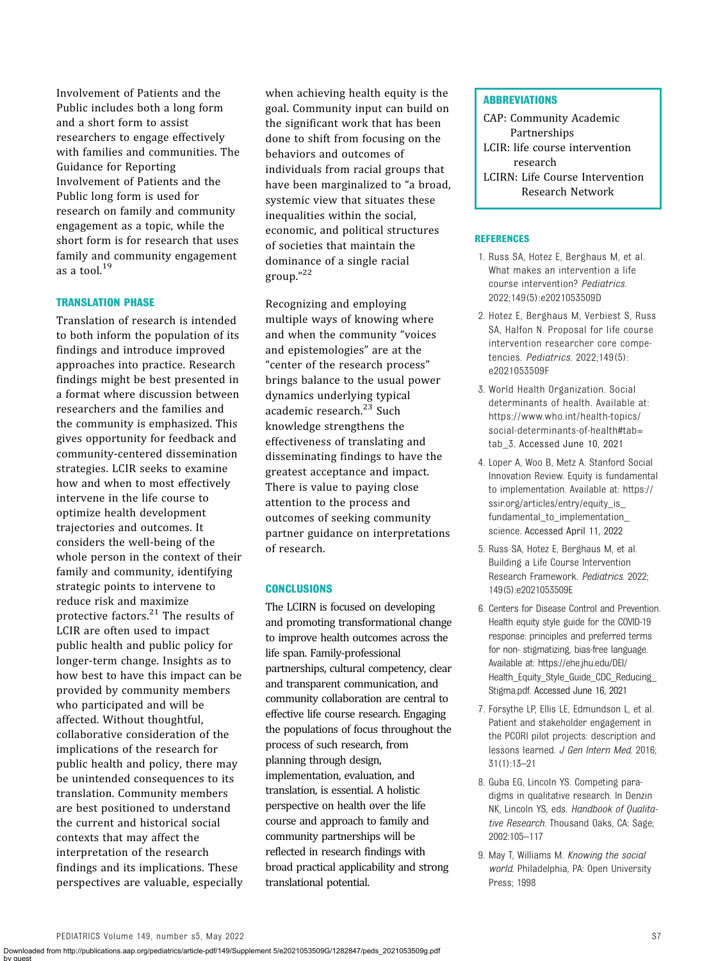Involvement of Patients and the Public includes both a long form and a short form to assist researchers to engage effectively with families and communities. The Guidance for Reporting Involvement of Patients and the Public long form is used for research on family and community engagement as a topic, while the short form is for research that uses family and community engagement as a tool.<sup>19</sup>

# TRANSLATION PHASE

Translation of research is intended to both inform the population of its findings and introduce improved approaches into practice. Research findings might be best presented in a format where discussion between researchers and the families and the community is emphasized. This gives opportunity for feedback and community-centered dissemination strategies. LCIR seeks to examine how and when to most effectively intervene in the life course to optimize health development trajectories and outcomes. It considers the well-being of the whole person in the context of their family and community, identifying strategic points to intervene to reduce risk and maximize protective factors.<sup>21</sup> The results of LCIR are often used to impact public health and public policy for longer-term change. Insights as to how best to have this impact can be provided by community members who participated and will be affected. Without thoughtful, collaborative consideration of the implications of the research for public health and policy, there may be unintended consequences to its translation. Community members are best positioned to understand the current and historical social contexts that may affect the interpretation of the research findings and its implications. These perspectives are valuable, especially

when achieving health equity is the goal. Community input can build on the significant work that has been done to shift from focusing on the behaviors and outcomes of individuals from racial groups that have been marginalized to "a broad, systemic view that situates these inequalities within the social, economic, and political structures of societies that maintain the dominance of a single racial group." 22

Recognizing and employing multiple ways of knowing where and when the community "voices and epistemologies" are at the "center of the research process" brings balance to the usual power dynamics underlying typical academic research.<sup>23</sup> Such knowledge strengthens the effectiveness of translating and disseminating findings to have the greatest acceptance and impact. There is value to paying close attention to the process and outcomes of seeking community partner guidance on interpretations of research.

# **CONCLUSIONS**

The LCIRN is focused on developing and promoting transformational change to improve health outcomes across the life span. Family-professional partnerships, cultural competency, clear and transparent communication, and community collaboration are central to effective life course research. Engaging the populations of focus throughout the process of such research, from planning through design, implementation, evaluation, and translation, is essential. A holistic perspective on health over the life course and approach to family and community partnerships will be reflected in research findings with broad practical applicability and strong translational potential.

#### **ABBREVIATIONS**

CAP: Community Academic Partnerships LCIR: life course intervention research LCIRN: Life Course Intervention Research Network

#### **REFERENCES**

- 1. Russ SA, Hotez E, Berghaus M, et al. What makes an intervention a life course intervention? Pediatrics. 2022;149(5):e2021053509D
- 2. Hotez E, Berghaus M, Verbiest S, Russ SA, Halfon N. Proposal for life course intervention researcher core competencies. Pediatrics. 2022;149(5): e2021053509F
- 3. World Health Organization. Social determinants of health. Available at: [https://www.who.int/health-topics/](https://www.who.int/health-topics/social-determinants-of-health#tab=tab_3) [social-determinants-of-health#tab=](https://www.who.int/health-topics/social-determinants-of-health#tab=tab_3) [tab\\_3.](https://www.who.int/health-topics/social-determinants-of-health#tab=tab_3) Accessed June 10, 2021
- 4. Loper A, Woo B, Metz A. Stanford Social Innovation Review. Equity is fundamental to implementation. Available at: [https://](https://ssir.org/articles/entry/equity_is_fundamental_to_implementation_science) [ssir.org/articles/entry/equity\\_is\\_](https://ssir.org/articles/entry/equity_is_fundamental_to_implementation_science) [fundamental\\_to\\_implementation\\_](https://ssir.org/articles/entry/equity_is_fundamental_to_implementation_science) [science](https://ssir.org/articles/entry/equity_is_fundamental_to_implementation_science). Accessed April 11, 2022
- 5. Russ SA, Hotez E, Berghaus M, et al. Building a Life Course Intervention Research Framework. Pediatrics. 2022; 149(5):e2021053509E
- 6. Centers for Disease Control and Prevention. Health equity style guide for the COVID-19 response: principles and preferred terms for non- stigmatizing, bias-free language. Available at: [https://ehe.jhu.edu/DEI/](https://ehe.jhu.edu/DEI/Health_Equity_Style_Guide_CDC_Reducing_Stigma.pdf) [Health\\_Equity\\_Style\\_Guide\\_CDC\\_Reducing\\_](https://ehe.jhu.edu/DEI/Health_Equity_Style_Guide_CDC_Reducing_Stigma.pdf) [Stigma.pdf.](https://ehe.jhu.edu/DEI/Health_Equity_Style_Guide_CDC_Reducing_Stigma.pdf) Accessed June 16, 2021
- 7. Forsythe LP, Ellis LE, Edmundson L, et al. Patient and stakeholder engagement in the PCORI pilot projects: description and lessons learned. J Gen Intern Med. 2016; 31(1):13–21
- 8. Guba EG, Lincoln YS. Competing paradigms in qualitative research. In Denzin NK, Lincoln YS, eds. Handbook of Qualitative Research. Thousand Oaks, CA: Sage; 2002:105–117
- 9. May T, Williams M. Knowing the social world. Philadelphia, PA: Open University Press; 1998

by guest

Downloaded from http://publications.aap.org/pediatrics/article-pdf/149/Supplement 5/e2021053509G/1282847/peds\_2021053509g.pdf